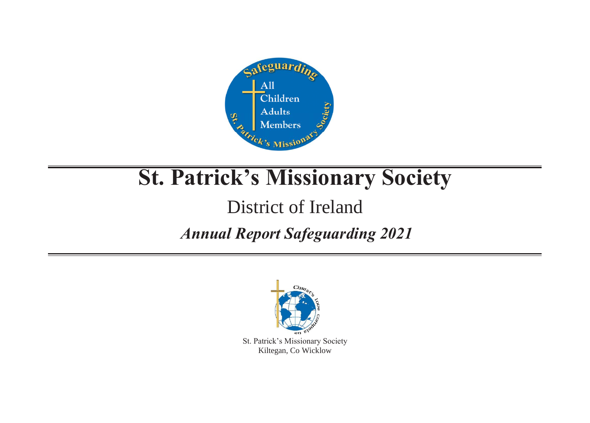

# **St. Patrick's Missionary Society**

# District of Ireland

## *Annual Report Safeguarding 2021*



St. Patrick's Missionary Society Kiltegan, Co Wicklow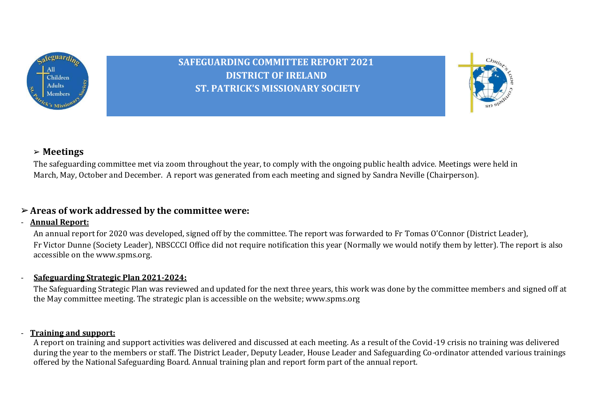

**SAFEGUARDING COMMITTEE REPORT 2021 DISTRICT OF IRELAND ST. PATRICK'S MISSIONARY SOCIETY**



#### ➢ **Meetings**

The safeguarding committee met via zoom throughout the year, to comply with the ongoing public health advice. Meetings were held in March, May, October and December. A report was generated from each meeting and signed by Sandra Neville (Chairperson).

#### ➢**Areas of work addressed by the committee were:**

#### - **Annual Report:**

An annual report for 2020 was developed, signed off by the committee. The report was forwarded to Fr Tomas O'Connor (District Leader), Fr Victor Dunne (Society Leader), NBSCCCI Office did not require notification this year (Normally we would notify them by letter). The report is also accessible on the [www.spms.org.](http://www.spms.org/)

#### - **Safeguarding Strategic Plan 2021-2024:**

The Safeguarding Strategic Plan was reviewed and updated for the next three years, this work was done by the committee members and signed off at the May committee meeting. The strategic plan is accessible on the website; www.spms.org

#### - **Training and support:**

A report on training and support activities was delivered and discussed at each meeting. As a result of the Covid-19 crisis no training was delivered during the year to the members or staff. The District Leader, Deputy Leader, House Leader and Safeguarding Co-ordinator attended various trainings offered by the National Safeguarding Board. Annual training plan and report form part of the annual report.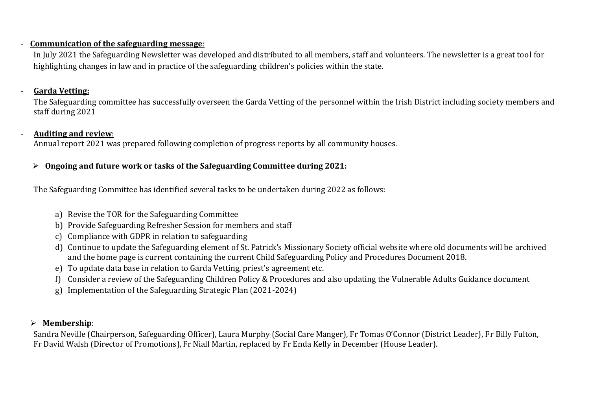#### - **Communication of the safeguarding message**:

In July 2021 the Safeguarding Newsletter was developed and distributed to all members, staff and volunteers. The newsletter is a great tool for highlighting changes in law and in practice of the safeguarding children's policies within the state.

#### - **Garda Vetting:**

The Safeguarding committee has successfully overseen the Garda Vetting of the personnel within the Irish District including society members and staff during 2021

#### - **Auditing and review**:

Annual report 2021 was prepared following completion of progress reports by all community houses.

#### ➢ **Ongoing and future work or tasks of the Safeguarding Committee during 2021:**

The Safeguarding Committee has identified several tasks to be undertaken during 2022 as follows:

- a) Revise the TOR for the Safeguarding Committee
- b) Provide Safeguarding Refresher Session for members and staff
- c) Compliance with GDPR in relation to safeguarding
- d) Continue to update the Safeguarding element of St. Patrick's Missionary Society official website where old documents will be archived and the home page is current containing the current Child Safeguarding Policy and Procedures Document 2018.
- e) To update data base in relation to Garda Vetting, priest's agreement etc.
- f) Consider a review of the Safeguarding Children Policy & Procedures and also updating the Vulnerable Adults Guidance document
- g) Implementation of the Safeguarding Strategic Plan (2021-2024)

#### ➢ **Membership**:

Sandra Neville (Chairperson, Safeguarding Officer), Laura Murphy (Social Care Manger), Fr Tomas O'Connor (District Leader), Fr Billy Fulton, Fr David Walsh (Director of Promotions), Fr Niall Martin, replaced by Fr Enda Kelly in December (House Leader).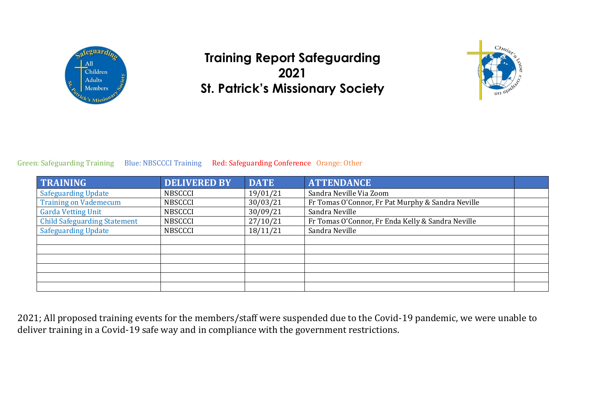

## **Training Report Safeguarding 2021 St. Patrick's Missionary Society**



#### Green: Safeguarding Training Blue: NBSCCCI Training Red: Safeguarding Conference Orange: Other

| <b>TRAINING</b>                     | <b>DELIVERED BY</b> | <b>DATE</b> | <b>ATTENDANCE</b>                                 |  |
|-------------------------------------|---------------------|-------------|---------------------------------------------------|--|
| <b>Safeguarding Update</b>          | <b>NBSCCCI</b>      | 19/01/21    | Sandra Neville Via Zoom                           |  |
| <b>Training on Vademecum</b>        | <b>NBSCCCI</b>      | 30/03/21    | Fr Tomas O'Connor, Fr Pat Murphy & Sandra Neville |  |
| <b>Garda Vetting Unit</b>           | <b>NBSCCCI</b>      | 30/09/21    | Sandra Neville                                    |  |
| <b>Child Safeguarding Statement</b> | <b>NBSCCCI</b>      | 27/10/21    | Fr Tomas O'Connor, Fr Enda Kelly & Sandra Neville |  |
| <b>Safeguarding Update</b>          | <b>NBSCCCI</b>      | 18/11/21    | Sandra Neville                                    |  |
|                                     |                     |             |                                                   |  |
|                                     |                     |             |                                                   |  |
|                                     |                     |             |                                                   |  |
|                                     |                     |             |                                                   |  |
|                                     |                     |             |                                                   |  |
|                                     |                     |             |                                                   |  |

2021; All proposed training events for the members/staff were suspended due to the Covid-19 pandemic, we were unable to deliver training in a Covid-19 safe way and in compliance with the government restrictions.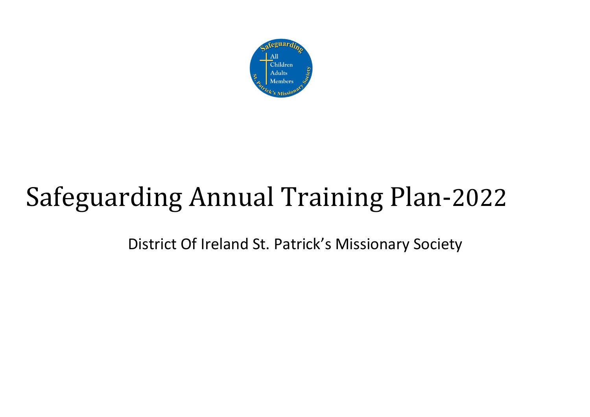

# Safeguarding Annual Training Plan-2022

District Of Ireland St. Patrick's Missionary Society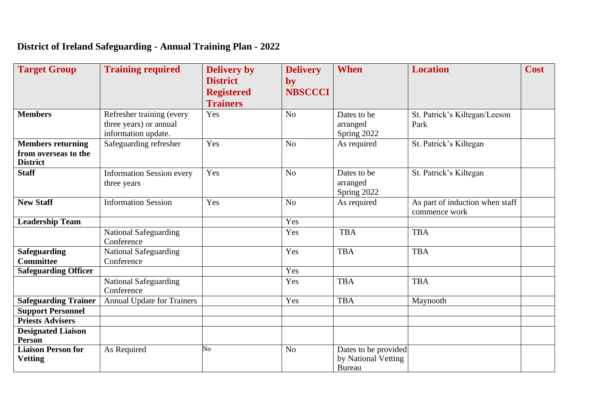## **District of Ireland Safeguarding - Annual Training Plan - 2022**

| <b>Target Group</b>                                                 | <b>Training required</b>                                                   | <b>Delivery by</b><br><b>District</b><br><b>Registered</b><br><b>Trainers</b> | <b>Delivery</b><br>by<br><b>NBSCCCI</b> | <b>When</b>                                                  | <b>Location</b>                                  | <b>Cost</b> |
|---------------------------------------------------------------------|----------------------------------------------------------------------------|-------------------------------------------------------------------------------|-----------------------------------------|--------------------------------------------------------------|--------------------------------------------------|-------------|
| <b>Members</b>                                                      | Refresher training (every<br>three years) or annual<br>information update. | Yes                                                                           | N <sub>o</sub>                          | Dates to be<br>arranged<br>Spring 2022                       | St. Patrick's Kiltegan/Leeson<br>Park            |             |
| <b>Members returning</b><br>from overseas to the<br><b>District</b> | Safeguarding refresher                                                     | Yes                                                                           | N <sub>o</sub>                          | As required                                                  | St. Patrick's Kiltegan                           |             |
| <b>Staff</b>                                                        | <b>Information Session every</b><br>three years                            | Yes                                                                           | No                                      | Dates to be<br>arranged<br>Spring 2022                       | St. Patrick's Kiltegan                           |             |
| <b>New Staff</b>                                                    | <b>Information Session</b>                                                 | Yes                                                                           | No                                      | As required                                                  | As part of induction when staff<br>commence work |             |
| <b>Leadership Team</b>                                              |                                                                            |                                                                               | Yes                                     |                                                              |                                                  |             |
|                                                                     | <b>National Safeguarding</b><br>Conference                                 |                                                                               | Yes                                     | <b>TBA</b>                                                   | <b>TBA</b>                                       |             |
| <b>Safeguarding</b><br><b>Committee</b>                             | <b>National Safeguarding</b><br>Conference                                 |                                                                               | Yes                                     | <b>TBA</b>                                                   | <b>TBA</b>                                       |             |
| <b>Safeguarding Officer</b>                                         |                                                                            |                                                                               | Yes                                     |                                                              |                                                  |             |
|                                                                     | <b>National Safeguarding</b><br>Conference                                 |                                                                               | Yes                                     | <b>TBA</b>                                                   | <b>TBA</b>                                       |             |
| <b>Safeguarding Trainer</b>                                         | <b>Annual Update for Trainers</b>                                          |                                                                               | Yes                                     | <b>TBA</b>                                                   | Maynooth                                         |             |
| <b>Support Personnel</b>                                            |                                                                            |                                                                               |                                         |                                                              |                                                  |             |
| <b>Priests Advisers</b>                                             |                                                                            |                                                                               |                                         |                                                              |                                                  |             |
| <b>Designated Liaison</b><br><b>Person</b>                          |                                                                            |                                                                               |                                         |                                                              |                                                  |             |
| <b>Liaison Person for</b><br><b>Vetting</b>                         | As Required                                                                | N <sub>o</sub>                                                                | N <sub>o</sub>                          | Dates to be provided<br>by National Vetting<br><b>Bureau</b> |                                                  |             |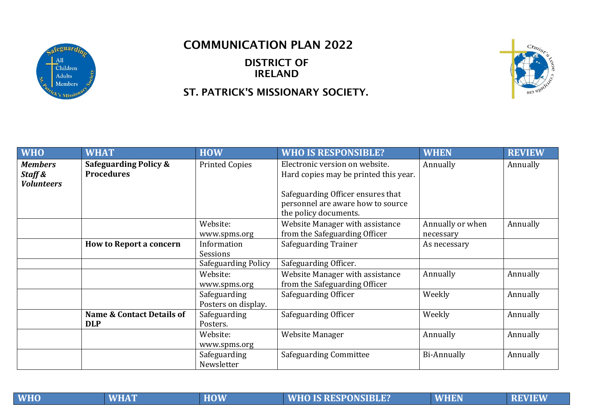

### COMMUNICATION PLAN 2022

DISTRICT OF IRELAND

#### ST. PATRICK'S MISSIONARY SOCIETY.